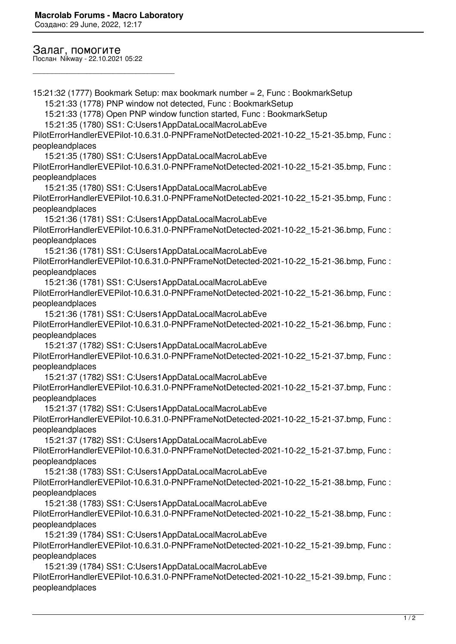Создано: 29 June, 2022, 12:17

## Залаг, помогите

Послан Nikway - 22.10.2021 05:22

\_\_\_\_\_\_\_\_\_\_\_\_\_\_\_\_\_\_\_\_\_\_\_\_\_\_\_\_\_\_\_\_\_\_\_\_\_

15:21:32 (1777) Bookmark Setup: max bookmark number = 2, Func : BookmarkSetup 15:21:33 (1778) PNP window not detected, Func : BookmarkSetup 15:21:33 (1778) Open PNP window function started, Func : BookmarkSetup 15:21:35 (1780) SS1: C:Users1AppDataLocalMacroLabEve PilotErrorHandlerEVEPilot-10.6.31.0-PNPFrameNotDetected-2021-10-22\_15-21-35.bmp, Func : peopleandplaces 15:21:35 (1780) SS1: C:Users1AppDataLocalMacroLabEve PilotErrorHandlerEVEPilot-10.6.31.0-PNPFrameNotDetected-2021-10-22\_15-21-35.bmp, Func : peopleandplaces 15:21:35 (1780) SS1: C:Users1AppDataLocalMacroLabEve PilotErrorHandlerEVEPilot-10.6.31.0-PNPFrameNotDetected-2021-10-22\_15-21-35.bmp, Func : peopleandplaces 15:21:36 (1781) SS1: C:Users1AppDataLocalMacroLabEve PilotErrorHandlerEVEPilot-10.6.31.0-PNPFrameNotDetected-2021-10-22\_15-21-36.bmp, Func : peopleandplaces 15:21:36 (1781) SS1: C:Users1AppDataLocalMacroLabEve PilotErrorHandlerEVEPilot-10.6.31.0-PNPFrameNotDetected-2021-10-22\_15-21-36.bmp, Func : peopleandplaces 15:21:36 (1781) SS1: C:Users1AppDataLocalMacroLabEve PilotErrorHandlerEVEPilot-10.6.31.0-PNPFrameNotDetected-2021-10-22\_15-21-36.bmp, Func : peopleandplaces 15:21:36 (1781) SS1: C:Users1AppDataLocalMacroLabEve PilotErrorHandlerEVEPilot-10.6.31.0-PNPFrameNotDetected-2021-10-22\_15-21-36.bmp, Func : peopleandplaces 15:21:37 (1782) SS1: C:Users1AppDataLocalMacroLabEve PilotErrorHandlerEVEPilot-10.6.31.0-PNPFrameNotDetected-2021-10-22\_15-21-37.bmp, Func : peopleandplaces 15:21:37 (1782) SS1: C:Users1AppDataLocalMacroLabEve PilotErrorHandlerEVEPilot-10.6.31.0-PNPFrameNotDetected-2021-10-22\_15-21-37.bmp, Func : peopleandplaces 15:21:37 (1782) SS1: C:Users1AppDataLocalMacroLabEve PilotErrorHandlerEVEPilot-10.6.31.0-PNPFrameNotDetected-2021-10-22\_15-21-37.bmp, Func : peopleandplaces 15:21:37 (1782) SS1: C:Users1AppDataLocalMacroLabEve PilotErrorHandlerEVEPilot-10.6.31.0-PNPFrameNotDetected-2021-10-22\_15-21-37.bmp, Func : peopleandplaces 15:21:38 (1783) SS1: C:Users1AppDataLocalMacroLabEve PilotErrorHandlerEVEPilot-10.6.31.0-PNPFrameNotDetected-2021-10-22\_15-21-38.bmp, Func : peopleandplaces 15:21:38 (1783) SS1: C:Users1AppDataLocalMacroLabEve PilotErrorHandlerEVEPilot-10.6.31.0-PNPFrameNotDetected-2021-10-22\_15-21-38.bmp, Func : peopleandplaces 15:21:39 (1784) SS1: C:Users1AppDataLocalMacroLabEve PilotErrorHandlerEVEPilot-10.6.31.0-PNPFrameNotDetected-2021-10-22\_15-21-39.bmp, Func : peopleandplaces 15:21:39 (1784) SS1: C:Users1AppDataLocalMacroLabEve PilotErrorHandlerEVEPilot-10.6.31.0-PNPFrameNotDetected-2021-10-22\_15-21-39.bmp, Func : peopleandplaces